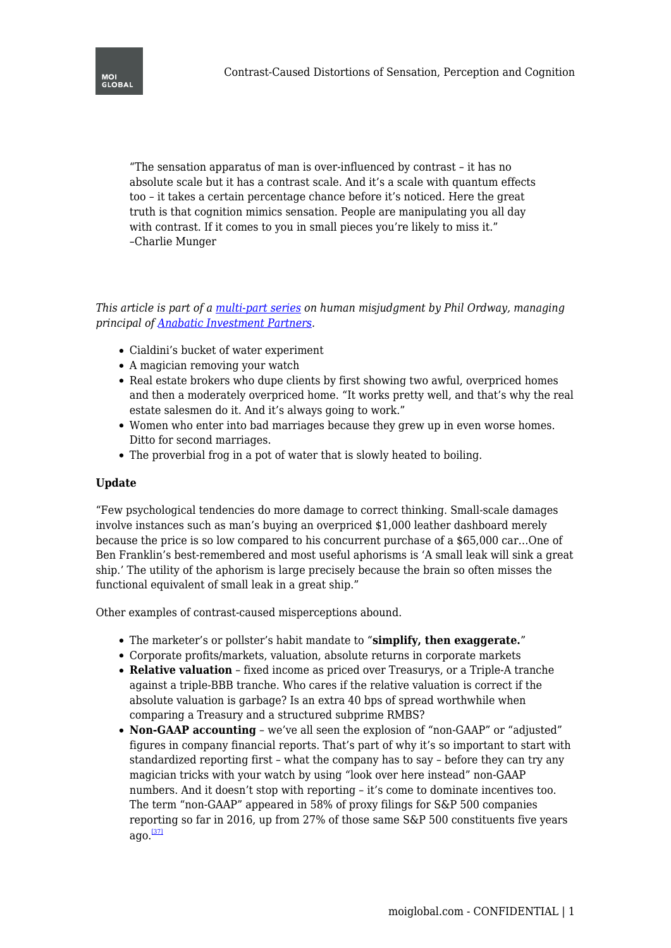"The sensation apparatus of man is over-influenced by contrast – it has no absolute scale but it has a contrast scale. And it's a scale with quantum effects too – it takes a certain percentage chance before it's noticed. Here the great truth is that cognition mimics sensation. People are manipulating you all day with contrast. If it comes to you in small pieces you're likely to miss it." –Charlie Munger

*This article is part of a [multi-part series](https://moiglobal.com/human-misjudgment/) on human misjudgment by Phil Ordway, managing principal of [Anabatic Investment Partners.](http://www.anabaticllc.com/)*

- Cialdini's bucket of water experiment
- A magician removing your watch
- Real estate brokers who dupe clients by first showing two awful, overpriced homes and then a moderately overpriced home. "It works pretty well, and that's why the real estate salesmen do it. And it's always going to work."
- Women who enter into bad marriages because they grew up in even worse homes. Ditto for second marriages.
- The proverbial frog in a pot of water that is slowly heated to boiling.

## **Update**

"Few psychological tendencies do more damage to correct thinking. Small-scale damages involve instances such as man's buying an overpriced \$1,000 leather dashboard merely because the price is so low compared to his concurrent purchase of a \$65,000 car…One of Ben Franklin's best-remembered and most useful aphorisms is 'A small leak will sink a great ship.' The utility of the aphorism is large precisely because the brain so often misses the functional equivalent of small leak in a great ship."

Other examples of contrast-caused misperceptions abound.

- The marketer's or pollster's habit mandate to "**simplify, then exaggerate.**"
- Corporate profits/markets, valuation, absolute returns in corporate markets
- **Relative valuation** fixed income as priced over Treasurys, or a Triple-A tranche against a triple-BBB tranche. Who cares if the relative valuation is correct if the absolute valuation is garbage? Is an extra 40 bps of spread worthwhile when comparing a Treasury and a structured subprime RMBS?
- <span id="page-0-0"></span>**Non-GAAP accounting** – we've all seen the explosion of "non-GAAP" or "adjusted" figures in company financial reports. That's part of why it's so important to start with standardized reporting first – what the company has to say – before they can try any magician tricks with your watch by using "look over here instead" non-GAAP numbers. And it doesn't stop with reporting – it's come to dominate incentives too. The term "non-GAAP" appeared in 58% of proxy filings for S&P 500 companies reporting so far in 2016, up from 27% of those same S&P 500 constituents five years  $aqo.<sup>[37]</sup>$  $aqo.<sup>[37]</sup>$  $aqo.<sup>[37]</sup>$